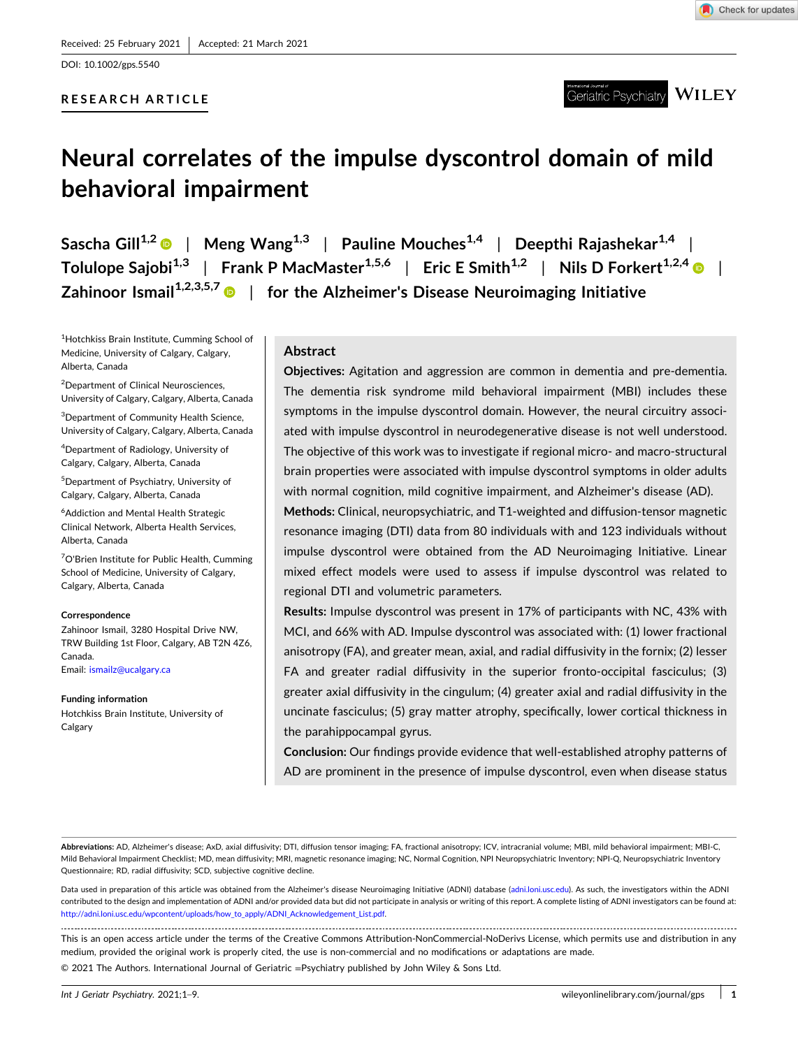DOI: [10.1002/gps.5540](https://doi.org/10.1002/gps.5540)

# **RESEARCH ARTICLE**



**WILEY** Geriatric Psychiatry

# **Neural correlates of the impulse dyscontrol domain of mild behavioral impairment**

**Sascha Gill1,2** | **Meng Wang1,3** | **Pauline Mouches1,4** | **Deepthi Rajashekar1,4** | **Tolulope Sajobi1,3** | **Frank P MacMaster1,5,6** | **Eric E Smith1,2** | **Nils D Forkert1,2,4** | **Zahinoor Ismail1,2,3,5,7** | **for the Alzheimer's Disease Neuroimaging Initiative**

1 Hotchkiss Brain Institute, Cumming School of Medicine, University of Calgary, Calgary, Alberta, Canada

<sup>2</sup>Department of Clinical Neurosciences, University of Calgary, Calgary, Alberta, Canada

<sup>3</sup>Department of Community Health Science, University of Calgary, Calgary, Alberta, Canada

4 Department of Radiology, University of Calgary, Calgary, Alberta, Canada

5 Department of Psychiatry, University of Calgary, Calgary, Alberta, Canada

6 Addiction and Mental Health Strategic Clinical Network, Alberta Health Services, Alberta, Canada

<sup>7</sup>O'Brien Institute for Public Health, Cumming School of Medicine, University of Calgary, Calgary, Alberta, Canada

#### **Correspondence**

Zahinoor Ismail, 3280 Hospital Drive NW, TRW Building 1st Floor, Calgary, AB T2N 4Z6, Canada. Email: [ismailz@ucalgary.ca](mailto:ismailz@ucalgary.ca)

#### **Funding information**

Hotchkiss Brain Institute, University of Calgary

# **Abstract**

**Objectives:** Agitation and aggression are common in dementia and pre‐dementia. The dementia risk syndrome mild behavioral impairment (MBI) includes these symptoms in the impulse dyscontrol domain. However, the neural circuitry associated with impulse dyscontrol in neurodegenerative disease is not well understood. The objective of this work was to investigate if regional micro‐ and macro‐structural brain properties were associated with impulse dyscontrol symptoms in older adults with normal cognition, mild cognitive impairment, and Alzheimer's disease (AD).

**Methods:** Clinical, neuropsychiatric, and T1‐weighted and diffusion‐tensor magnetic resonance imaging (DTI) data from 80 individuals with and 123 individuals without impulse dyscontrol were obtained from the AD Neuroimaging Initiative. Linear mixed effect models were used to assess if impulse dyscontrol was related to regional DTI and volumetric parameters.

**Results:** Impulse dyscontrol was present in 17% of participants with NC, 43% with MCI, and 66% with AD. Impulse dyscontrol was associated with: (1) lower fractional anisotropy (FA), and greater mean, axial, and radial diffusivity in the fornix; (2) lesser FA and greater radial diffusivity in the superior fronto-occipital fasciculus; (3) greater axial diffusivity in the cingulum; (4) greater axial and radial diffusivity in the uncinate fasciculus; (5) gray matter atrophy, specifically, lower cortical thickness in the parahippocampal gyrus.

**Conclusion:** Our findings provide evidence that well‐established atrophy patterns of AD are prominent in the presence of impulse dyscontrol, even when disease status

**Abbreviations:** AD, Alzheimer's disease; AxD, axial diffusivity; DTI, diffusion tensor imaging; FA, fractional anisotropy; ICV, intracranial volume; MBI, mild behavioral impairment; MBI‐C, Mild Behavioral Impairment Checklist; MD, mean diffusivity; MRI, magnetic resonance imaging; NC, Normal Cognition, NPI Neuropsychiatric Inventory; NPI‐Q, Neuropsychiatric Inventory Questionnaire; RD, radial diffusivity; SCD, subjective cognitive decline.

Data used in preparation of this article was obtained from the Alzheimer's disease Neuroimaging Initiative (ADNI) database [\(adni.loni.usc.edu\)](http://adni.loni.usc.edu). As such, the investigators within the ADNI contributed to the design and implementation of ADNI and/or provided data but did not participate in analysis or writing of this report. A complete listing of ADNI investigators can be found at: [http://adni.loni.usc.edu/wpcontent/uploads/how\\_to\\_apply/ADNI\\_Acknowledgement\\_List.pdf](http://adni.loni.usc.edu/wpcontent/uploads/how_to_apply/ADNI_Acknowledgement_List.pdf).

This is an open access article under the terms of the Creative Commons Attribution‐NonCommercial‐NoDerivs License, which permits use and distribution in any medium, provided the original work is properly cited, the use is non‐commercial and no modifications or adaptations are made.

© 2021 The Authors. International Journal of Geriatric =Psychiatry published by John Wiley & Sons Ltd.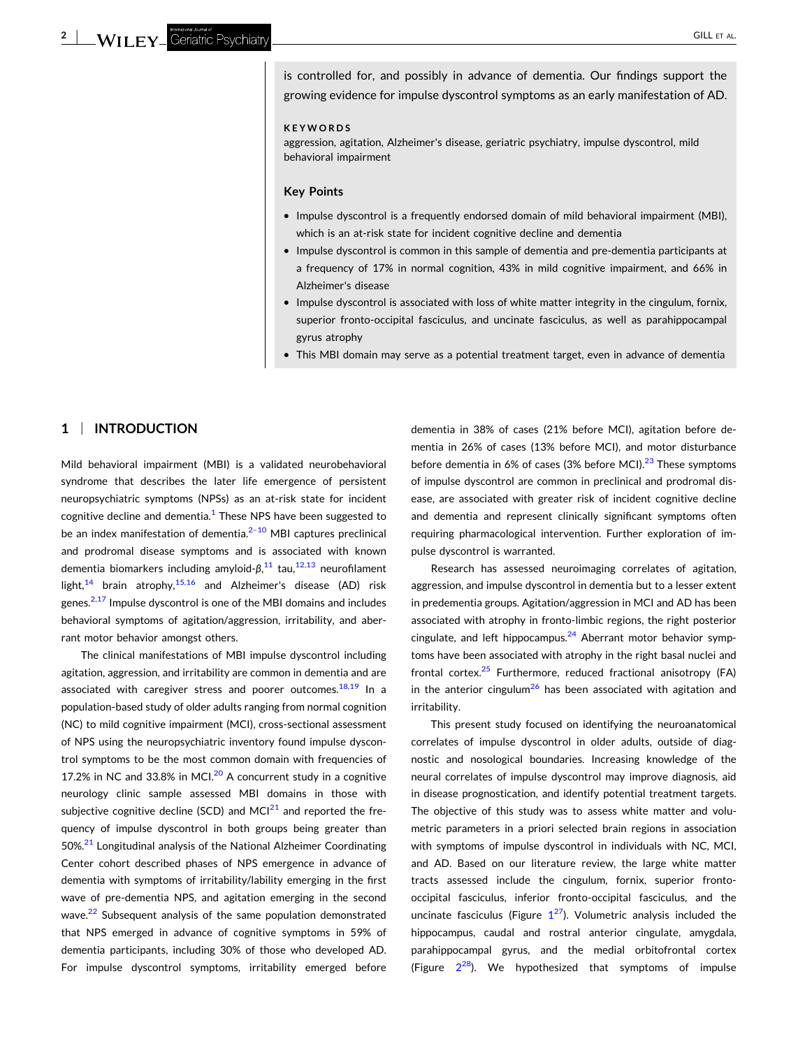is controlled for, and possibly in advance of dementia. Our findings support the growing evidence for impulse dyscontrol symptoms as an early manifestation of AD.

#### **KEYWORDS**

aggression, agitation, Alzheimer's disease, geriatric psychiatry, impulse dyscontrol, mild behavioral impairment

#### **Key Points**

- � Impulse dyscontrol is a frequently endorsed domain of mild behavioral impairment (MBI), which is an at-risk state for incident cognitive decline and dementia
- Impulse dyscontrol is common in this sample of dementia and pre-dementia participants at a frequency of 17% in normal cognition, 43% in mild cognitive impairment, and 66% in Alzheimer's disease
- � Impulse dyscontrol is associated with loss of white matter integrity in the cingulum, fornix, superior fronto-occipital fasciculus, and uncinate fasciculus, as well as parahippocampal gyrus atrophy
- � This MBI domain may serve as a potential treatment target, even in advance of dementia

# **1** <sup>|</sup> **INTRODUCTION**

Mild behavioral impairment (MBI) is a validated neurobehavioral syndrome that describes the later life emergence of persistent neuropsychiatric symptoms (NPSs) as an at-risk state for incident cognitive decline and dementia. $1$  These NPS have been suggested to be an index manifestation of dementia. $2-10$  MBI captures preclinical and prodromal disease symptoms and is associated with known dementia biomarkers including amyloid-β,<sup>[11](#page-7-0)</sup> tau,<sup>[12,13](#page-7-0)</sup> neurofilament light,<sup>[14](#page-7-0)</sup> brain atrophy,<sup>[15,16](#page-7-0)</sup> and Alzheimer's disease (AD) risk genes. $2,17$  Impulse dyscontrol is one of the MBI domains and includes behavioral symptoms of agitation/aggression, irritability, and aberrant motor behavior amongst others.

The clinical manifestations of MBI impulse dyscontrol including agitation, aggression, and irritability are common in dementia and are associated with caregiver stress and poorer outcomes. $18,19$  In a population‐based study of older adults ranging from normal cognition (NC) to mild cognitive impairment (MCI), cross‐sectional assessment of NPS using the neuropsychiatric inventory found impulse dyscontrol symptoms to be the most common domain with frequencies of 17.2% in NC and 33.8% in MCI. $^{20}$  $^{20}$  $^{20}$  A concurrent study in a cognitive neurology clinic sample assessed MBI domains in those with subjective cognitive decline (SCD) and MC $1^{21}$  $1^{21}$  $1^{21}$  and reported the frequency of impulse dyscontrol in both groups being greater than 50%.<sup>[21](#page-7-0)</sup> Longitudinal analysis of the National Alzheimer Coordinating Center cohort described phases of NPS emergence in advance of dementia with symptoms of irritability/lability emerging in the first wave of pre-dementia NPS, and agitation emerging in the second wave.<sup>[22](#page-7-0)</sup> Subsequent analysis of the same population demonstrated that NPS emerged in advance of cognitive symptoms in 59% of dementia participants, including 30% of those who developed AD. For impulse dyscontrol symptoms, irritability emerged before

dementia in 38% of cases (21% before MCI), agitation before dementia in 26% of cases (13% before MCI), and motor disturbance before dementia in 6% of cases (3% before MCI).<sup>[23](#page-7-0)</sup> These symptoms of impulse dyscontrol are common in preclinical and prodromal disease, are associated with greater risk of incident cognitive decline and dementia and represent clinically significant symptoms often requiring pharmacological intervention. Further exploration of impulse dyscontrol is warranted.

Research has assessed neuroimaging correlates of agitation, aggression, and impulse dyscontrol in dementia but to a lesser extent in predementia groups. Agitation/aggression in MCI and AD has been associated with atrophy in fronto‐limbic regions, the right posterior cingulate, and left hippocampus. $24$  Aberrant motor behavior symptoms have been associated with atrophy in the right basal nuclei and frontal cortex. $25$  Furthermore, reduced fractional anisotropy (FA) in the anterior cingulum<sup>[26](#page-7-0)</sup> has been associated with agitation and irritability.

This present study focused on identifying the neuroanatomical correlates of impulse dyscontrol in older adults, outside of diagnostic and nosological boundaries. Increasing knowledge of the neural correlates of impulse dyscontrol may improve diagnosis, aid in disease prognostication, and identify potential treatment targets. The objective of this study was to assess white matter and volumetric parameters in a priori selected brain regions in association with symptoms of impulse dyscontrol in individuals with NC, MCI, and AD. Based on our literature review, the large white matter tracts assessed include the cingulum, fornix, superior fronto‐ occipital fasciculus, inferior fronto‐occipital fasciculus, and the uncinate fasciculus (Figure  $1^{27}$  $1^{27}$  $1^{27}$  $1^{27}$ ). Volumetric analysis included the hippocampus, caudal and rostral anterior cingulate, amygdala, parahippocampal gyrus, and the medial orbitofrontal cortex (Figure  $2^{28}$  $2^{28}$ ). We hypothesized that symptoms of impulse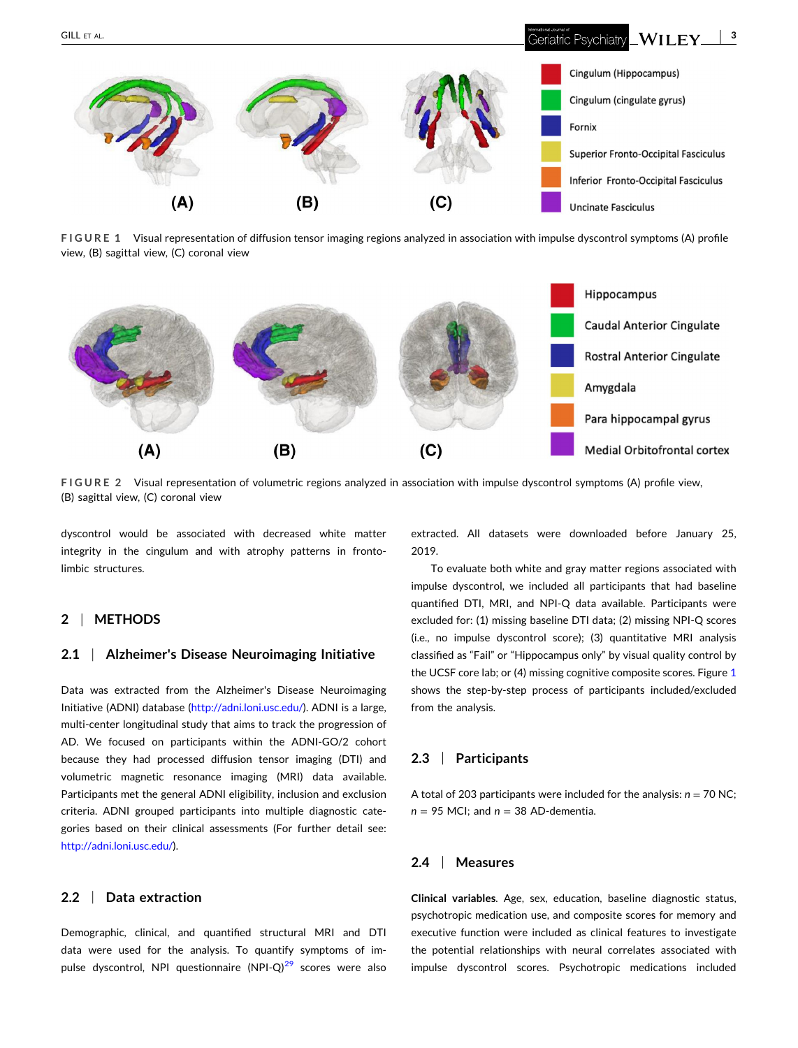<span id="page-2-0"></span>

**FIGURE 1** Visual representation of diffusion tensor imaging regions analyzed in association with impulse dyscontrol symptoms (A) profile view, (B) sagittal view, (C) coronal view



**FIGURE 2** Visual representation of volumetric regions analyzed in association with impulse dyscontrol symptoms (A) profile view, (B) sagittal view, (C) coronal view

dyscontrol would be associated with decreased white matter integrity in the cingulum and with atrophy patterns in fronto‐ limbic structures.

# **2** <sup>|</sup> **METHODS**

## **2.1** <sup>|</sup> **Alzheimer's Disease Neuroimaging Initiative**

Data was extracted from the Alzheimer's Disease Neuroimaging Initiative (ADNI) database ([http://adni.loni.usc.edu/](http://adni.loni.usc.edu)). ADNI is a large, multi-center longitudinal study that aims to track the progression of AD. We focused on participants within the ADNI‐GO/2 cohort because they had processed diffusion tensor imaging (DTI) and volumetric magnetic resonance imaging (MRI) data available. Participants met the general ADNI eligibility, inclusion and exclusion criteria. ADNI grouped participants into multiple diagnostic categories based on their clinical assessments (For further detail see: [http://adni.loni.usc.edu/\)](http://adni.loni.usc.edu).

### **2.2** <sup>|</sup> **Data extraction**

Demographic, clinical, and quantified structural MRI and DTI data were used for the analysis. To quantify symptoms of impulse dyscontrol, NPI questionnaire  $(NPI-Q)^{29}$  $(NPI-Q)^{29}$  $(NPI-Q)^{29}$  scores were also extracted. All datasets were downloaded before January 25, 2019.

To evaluate both white and gray matter regions associated with impulse dyscontrol, we included all participants that had baseline quantified DTI, MRI, and NPI‐Q data available. Participants were excluded for: (1) missing baseline DTI data; (2) missing NPI‐Q scores (i.e., no impulse dyscontrol score); (3) quantitative MRI analysis classified as "Fail" or "Hippocampus only" by visual quality control by the UCSF core lab; or (4) missing cognitive composite scores. Figure 1 shows the step‐by‐step process of participants included/excluded from the analysis.

# **2.3** <sup>|</sup> **Participants**

A total of 203 participants were included for the analysis:  $n = 70$  NC; *n* = 95 MCI; and *n* = 38 AD‐dementia.

#### **2.4** <sup>|</sup> **Measures**

**Clinical variables**. Age, sex, education, baseline diagnostic status, psychotropic medication use, and composite scores for memory and executive function were included as clinical features to investigate the potential relationships with neural correlates associated with impulse dyscontrol scores. Psychotropic medications included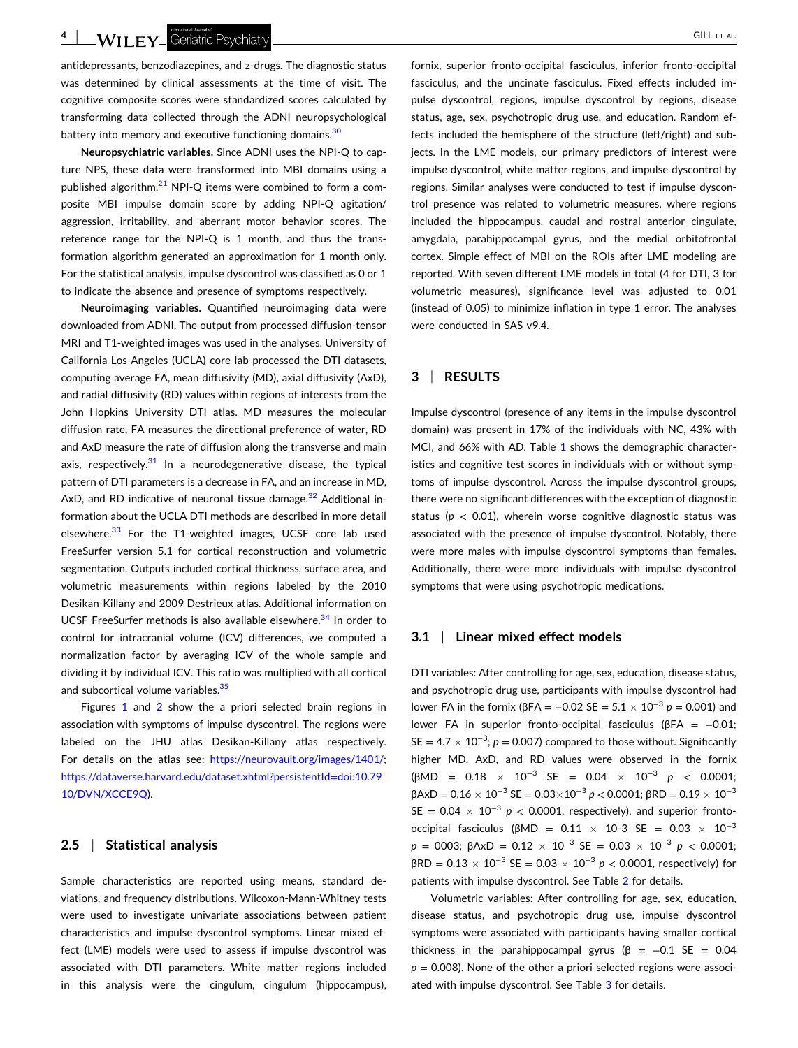- GILL ET AL.

antidepressants, benzodiazepines, and z‐drugs. The diagnostic status was determined by clinical assessments at the time of visit. The cognitive composite scores were standardized scores calculated by transforming data collected through the ADNI neuropsychological battery into memory and executive functioning domains.<sup>[30](#page-7-0)</sup>

**Neuropsychiatric variables.** Since ADNI uses the NPI‐Q to capture NPS, these data were transformed into MBI domains using a published algorithm. $^{21}$  NPI-Q items were combined to form a composite MBI impulse domain score by adding NPI‐Q agitation/ aggression, irritability, and aberrant motor behavior scores. The reference range for the NPI-Q is 1 month, and thus the transformation algorithm generated an approximation for 1 month only. For the statistical analysis, impulse dyscontrol was classified as 0 or 1 to indicate the absence and presence of symptoms respectively.

**Neuroimaging variables.** Quantified neuroimaging data were downloaded from ADNI. The output from processed diffusion‐tensor MRI and T1‐weighted images was used in the analyses. University of California Los Angeles (UCLA) core lab processed the DTI datasets, computing average FA, mean diffusivity (MD), axial diffusivity (AxD), and radial diffusivity (RD) values within regions of interests from the John Hopkins University DTI atlas. MD measures the molecular diffusion rate, FA measures the directional preference of water, RD and AxD measure the rate of diffusion along the transverse and main axis, respectively.<sup>31</sup> In a neurodegenerative disease, the typical pattern of DTI parameters is a decrease in FA, and an increase in MD, AxD, and RD indicative of neuronal tissue damage. $32$  Additional information about the UCLA DTI methods are described in more detail elsewhere.<sup>33</sup> For the T1-weighted images, UCSF core lab used FreeSurfer version 5.1 for cortical reconstruction and volumetric segmentation. Outputs included cortical thickness, surface area, and volumetric measurements within regions labeled by the 2010 Desikan‐Killany and 2009 Destrieux atlas. Additional information on UCSF FreeSurfer methods is also available elsewhere.<sup>[34](#page-7-0)</sup> In order to control for intracranial volume (ICV) differences, we computed a normalization factor by averaging ICV of the whole sample and dividing it by individual ICV. This ratio was multiplied with all cortical and subcortical volume variables.<sup>[35](#page-7-0)</sup>

Figures [1](#page-2-0) and [2](#page-2-0) show the a priori selected brain regions in association with symptoms of impulse dyscontrol. The regions were labeled on the JHU atlas Desikan‐Killany atlas respectively. For details on the atlas see: <https://neurovault.org/images/1401/>; [https://dataverse.harvard.edu/dataset.xhtml?persistentId](https://dataverse.harvard.edu/dataset.xhtml?persistentId=doi:10.7910/DVN/XCCE9Q)=doi:10.79 [10/DVN/XCCE9Q\)](https://dataverse.harvard.edu/dataset.xhtml?persistentId=doi:10.7910/DVN/XCCE9Q).

## **2.5** <sup>|</sup> **Statistical analysis**

Sample characteristics are reported using means, standard deviations, and frequency distributions. Wilcoxon‐Mann‐Whitney tests were used to investigate univariate associations between patient characteristics and impulse dyscontrol symptoms. Linear mixed effect (LME) models were used to assess if impulse dyscontrol was associated with DTI parameters. White matter regions included in this analysis were the cingulum, cingulum (hippocampus),

fornix, superior fronto‐occipital fasciculus, inferior fronto‐occipital fasciculus, and the uncinate fasciculus. Fixed effects included impulse dyscontrol, regions, impulse dyscontrol by regions, disease status, age, sex, psychotropic drug use, and education. Random effects included the hemisphere of the structure (left/right) and subjects. In the LME models, our primary predictors of interest were impulse dyscontrol, white matter regions, and impulse dyscontrol by regions. Similar analyses were conducted to test if impulse dyscontrol presence was related to volumetric measures, where regions included the hippocampus, caudal and rostral anterior cingulate, amygdala, parahippocampal gyrus, and the medial orbitofrontal cortex. Simple effect of MBI on the ROIs after LME modeling are reported. With seven different LME models in total (4 for DTI, 3 for volumetric measures), significance level was adjusted to 0.01 (instead of 0.05) to minimize inflation in type 1 error. The analyses were conducted in SAS v9.4.

#### **3** <sup>|</sup> **RESULTS**

Impulse dyscontrol (presence of any items in the impulse dyscontrol domain) was present in 17% of the individuals with NC, 43% with MCI, and 66% with AD. Table [1](#page-4-0) shows the demographic characteristics and cognitive test scores in individuals with or without symptoms of impulse dyscontrol. Across the impulse dyscontrol groups, there were no significant differences with the exception of diagnostic status ( $p < 0.01$ ), wherein worse cognitive diagnostic status was associated with the presence of impulse dyscontrol. Notably, there were more males with impulse dyscontrol symptoms than females. Additionally, there were more individuals with impulse dyscontrol symptoms that were using psychotropic medications.

#### **3.1** <sup>|</sup> **Linear mixed effect models**

DTI variables: After controlling for age, sex, education, disease status, and psychotropic drug use, participants with impulse dyscontrol had lower FA in the fornix (βFA = −0.02 SE = 5.1 � 10−<sup>3</sup> *p* = 0.001) and lower FA in superior fronto‐occipital fasciculus (βFA = −0.01;  $SE = 4.7 \times 10^{-3}$ ;  $p = 0.007$ ) compared to those without. Significantly higher MD, AxD, and RD values were observed in the fornix (βMD = 0.18 � 10−<sup>3</sup> SE = 0.04 � 10−<sup>3</sup> *p* < 0.0001;  $βAxD = 0.16 \times 10^{-3}$  SE =  $0.03 \times 10^{-3}$  *p* < 0.0001;  $βRD = 0.19 \times 10^{-3}$ SE =  $0.04 \times 10^{-3}$  *p* < 0.0001, respectively), and superior frontooccipital fasciculus (βMD = 0.11  $\times$  10-3 SE = 0.03  $\times$  10<sup>-3</sup>  $p = 0003$ ;  $\beta AxD = 0.12 \times 10^{-3}$  SE = 0.03  $\times 10^{-3}$   $p < 0.0001$ ;  $βRD = 0.13 × 10<sup>-3</sup> SE = 0.03 × 10<sup>-3</sup> p < 0.0001$ , respectively) for patients with impulse dyscontrol. See Table [2](#page-4-0) for details.

Volumetric variables: After controlling for age, sex, education, disease status, and psychotropic drug use, impulse dyscontrol symptoms were associated with participants having smaller cortical thickness in the parahippocampal gyrus ( $\beta$  = -0.1 SE = 0.04  $p = 0.008$ ). None of the other a priori selected regions were associated with impulse dyscontrol. See Table [3](#page-5-0) for details.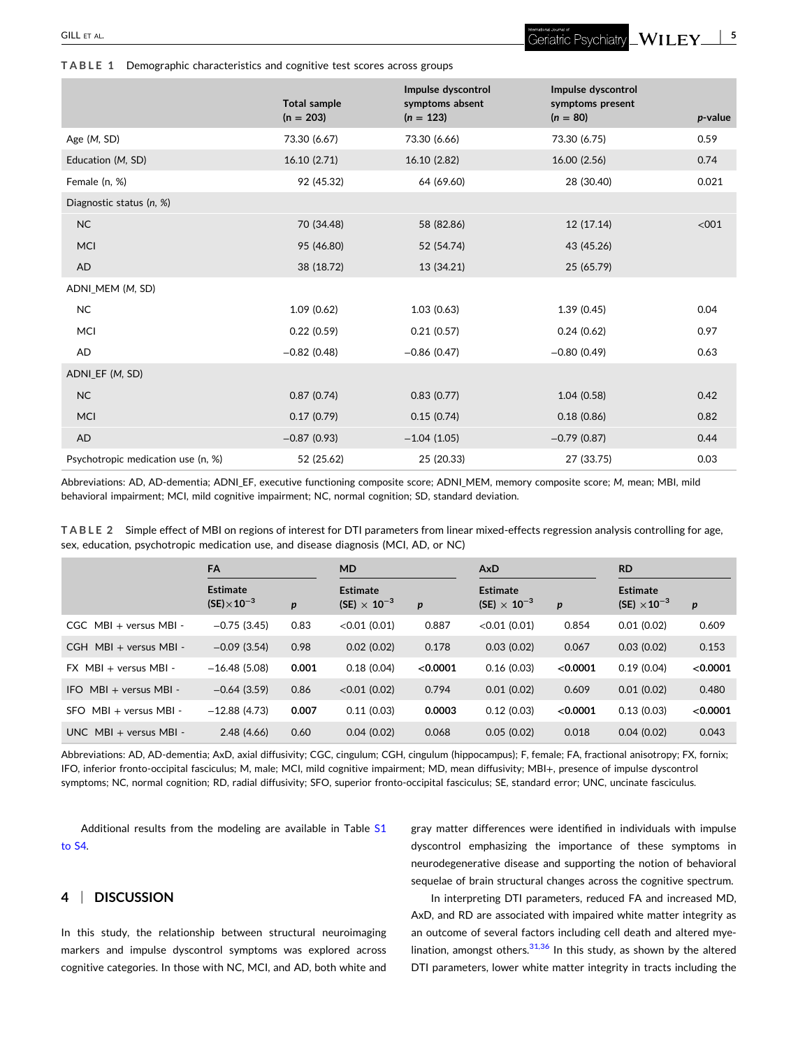<span id="page-4-0"></span>**TABLE 1** Demographic characteristics and cognitive test scores across groups

|                                    | <b>Total sample</b> | Impulse dyscontrol<br>symptoms absent | Impulse dyscontrol<br>symptoms present |            |
|------------------------------------|---------------------|---------------------------------------|----------------------------------------|------------|
|                                    | $(n = 203)$         | $(n = 123)$                           | $(n = 80)$                             | $p$ -value |
| Age (M, SD)                        | 73.30 (6.67)        | 73.30 (6.66)                          | 73.30 (6.75)                           | 0.59       |
| Education (M, SD)                  | 16.10 (2.71)        | 16.10 (2.82)                          | 16.00 (2.56)                           | 0.74       |
| Female (n, %)                      | 92 (45.32)          | 64 (69.60)                            | 28 (30.40)                             | 0.021      |
| Diagnostic status (n, %)           |                     |                                       |                                        |            |
| NC                                 | 70 (34.48)          | 58 (82.86)                            | 12 (17.14)                             | < 001      |
| <b>MCI</b>                         | 95 (46.80)          | 52 (54.74)                            | 43 (45.26)                             |            |
| AD                                 | 38 (18.72)          | 13 (34.21)                            | 25 (65.79)                             |            |
| ADNI MEM (M, SD)                   |                     |                                       |                                        |            |
| NC                                 | 1.09(0.62)          | 1.03(0.63)                            | 1.39(0.45)                             | 0.04       |
| MCI                                | 0.22(0.59)          | 0.21(0.57)                            | 0.24(0.62)                             | 0.97       |
| AD                                 | $-0.82$ (0.48)      | $-0.86(0.47)$                         | $-0.80(0.49)$                          | 0.63       |
| ADNI_EF (M, SD)                    |                     |                                       |                                        |            |
| NC                                 | 0.87(0.74)          | 0.83(0.77)                            | 1.04(0.58)                             | 0.42       |
| <b>MCI</b>                         | 0.17(0.79)          | 0.15(0.74)                            | 0.18(0.86)                             | 0.82       |
| AD                                 | $-0.87(0.93)$       | $-1.04(1.05)$                         | $-0.79(0.87)$                          | 0.44       |
| Psychotropic medication use (n, %) | 52 (25.62)          | 25 (20.33)                            | 27 (33.75)                             | 0.03       |

Abbreviations: AD, AD‐dementia; ADNI\_EF, executive functioning composite score; ADNI\_MEM, memory composite score; *M*, mean; MBI, mild behavioral impairment; MCI, mild cognitive impairment; NC, normal cognition; SD, standard deviation.

**TABLE 2** Simple effect of MBI on regions of interest for DTI parameters from linear mixed‐effects regression analysis controlling for age, sex, education, psychotropic medication use, and disease diagnosis (MCI, AD, or NC)

|                                | <b>FA</b>                                |                  | <b>MD</b>                                         |                  | <b>AxD</b>                                        |                  | <b>RD</b>                                         |                  |
|--------------------------------|------------------------------------------|------------------|---------------------------------------------------|------------------|---------------------------------------------------|------------------|---------------------------------------------------|------------------|
|                                | <b>Estimate</b><br>$(SE) \times 10^{-3}$ | $\boldsymbol{p}$ | <b>Estimate</b><br>(SE) $\times$ 10 <sup>-3</sup> | $\boldsymbol{p}$ | <b>Estimate</b><br>(SE) $\times$ 10 <sup>-3</sup> | $\boldsymbol{p}$ | <b>Estimate</b><br>(SE) $\times$ 10 <sup>-3</sup> | $\boldsymbol{p}$ |
| $CGC$ MBI + versus MBI -       | $-0.75(3.45)$                            | 0.83             | < 0.01(0.01)                                      | 0.887            | $< 0.01$ (0.01)                                   | 0.854            | 0.01(0.02)                                        | 0.609            |
| $CGH \cdot MBI + versus MBI -$ | $-0.09(3.54)$                            | 0.98             | 0.02(0.02)                                        | 0.178            | 0.03(0.02)                                        | 0.067            | 0.03(0.02)                                        | 0.153            |
| $FX$ MBI + versus MBI -        | $-16.48(5.08)$                           | 0.001            | 0.18(0.04)                                        | < 0.0001         | 0.16(0.03)                                        | < 0.0001         | 0.19(0.04)                                        | < 0.0001         |
| $MBI + versus MBI -$<br>IFO.   | $-0.64(3.59)$                            | 0.86             | $< 0.01$ (0.02)                                   | 0.794            | 0.01(0.02)                                        | 0.609            | 0.01(0.02)                                        | 0.480            |
| $MBI + versus MBI -$<br>SFO.   | $-12.88(4.73)$                           | 0.007            | 0.11(0.03)                                        | 0.0003           | 0.12(0.03)                                        | < 0.0001         | 0.13(0.03)                                        | < 0.0001         |
| $UNC$ MBI + versus MBI -       | 2.48(4.66)                               | 0.60             | 0.04(0.02)                                        | 0.068            | 0.05(0.02)                                        | 0.018            | 0.04(0.02)                                        | 0.043            |

Abbreviations: AD, AD‐dementia; AxD, axial diffusivity; CGC, cingulum; CGH, cingulum (hippocampus); F, female; FA, fractional anisotropy; FX, fornix; IFO, inferior fronto‐occipital fasciculus; M, male; MCI, mild cognitive impairment; MD, mean diffusivity; MBI+, presence of impulse dyscontrol symptoms; NC, normal cognition; RD, radial diffusivity; SFO, superior fronto‐occipital fasciculus; SE, standard error; UNC, uncinate fasciculus.

Additional results from the modeling are available in Table S1 to S4.

# **4** <sup>|</sup> **DISCUSSION**

In this study, the relationship between structural neuroimaging markers and impulse dyscontrol symptoms was explored across cognitive categories. In those with NC, MCI, and AD, both white and gray matter differences were identified in individuals with impulse dyscontrol emphasizing the importance of these symptoms in neurodegenerative disease and supporting the notion of behavioral sequelae of brain structural changes across the cognitive spectrum.

In interpreting DTI parameters, reduced FA and increased MD, AxD, and RD are associated with impaired white matter integrity as an outcome of several factors including cell death and altered mye-lination, amongst others.<sup>[31,36](#page-7-0)</sup> In this study, as shown by the altered DTI parameters, lower white matter integrity in tracts including the

Geriatric Psychiatry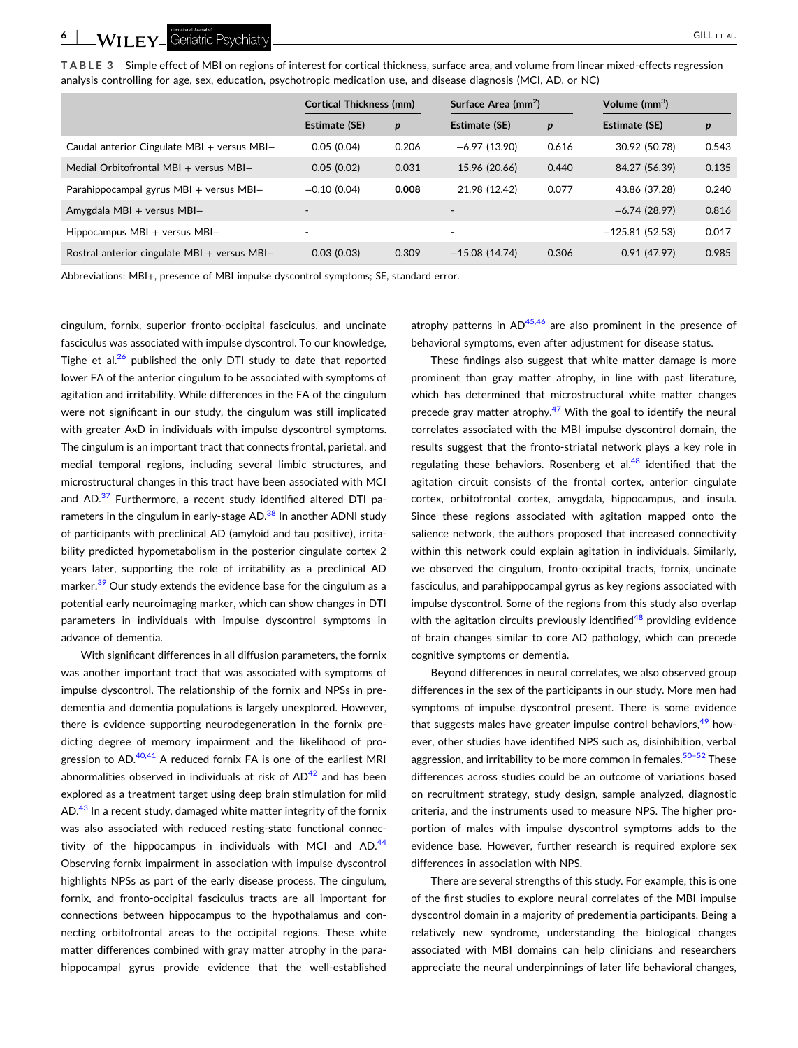<span id="page-5-0"></span>**TABLE 3** Simple effect of MBI on regions of interest for cortical thickness, surface area, and volume from linear mixed‐effects regression analysis controlling for age, sex, education, psychotropic medication use, and disease diagnosis (MCI, AD, or NC)

|                                              | <b>Cortical Thickness (mm)</b> |                  | Surface Area (mm <sup>2</sup> ) |       | Volume (mm <sup>3</sup> ) |       |
|----------------------------------------------|--------------------------------|------------------|---------------------------------|-------|---------------------------|-------|
|                                              | Estimate (SE)                  | $\boldsymbol{p}$ | Estimate (SE)                   | p     | Estimate (SE)             | p     |
| Caudal anterior Cingulate MBI + versus MBI-  | 0.05(0.04)                     | 0.206            | $-6.97(13.90)$                  | 0.616 | 30.92 (50.78)             | 0.543 |
| Medial Orbitofrontal MBI + versus MBI-       | 0.05(0.02)                     | 0.031            | 15.96 (20.66)                   | 0.440 | 84.27 (56.39)             | 0.135 |
| Parahippocampal gyrus MBI + versus MBI-      | $-0.10(0.04)$                  | 0.008            | 21.98 (12.42)                   | 0.077 | 43.86 (37.28)             | 0.240 |
| Amygdala MBI + versus MBI-                   |                                |                  | $\overline{\phantom{a}}$        |       | $-6.74(28.97)$            | 0.816 |
| Hippocampus $MBI + versus MBI -$             |                                |                  | $\overline{\phantom{a}}$        |       | $-125.81(52.53)$          | 0.017 |
| Rostral anterior cingulate MBI + versus MBI- | 0.03(0.03)                     | 0.309            | $-15.08(14.74)$                 | 0.306 | 0.91(47.97)               | 0.985 |

Abbreviations: MBI+, presence of MBI impulse dyscontrol symptoms; SE, standard error.

cingulum, fornix, superior fronto‐occipital fasciculus, and uncinate fasciculus was associated with impulse dyscontrol. To our knowledge, Tighe et al. $26$  published the only DTI study to date that reported lower FA of the anterior cingulum to be associated with symptoms of agitation and irritability. While differences in the FA of the cingulum were not significant in our study, the cingulum was still implicated with greater AxD in individuals with impulse dyscontrol symptoms. The cingulum is an important tract that connects frontal, parietal, and medial temporal regions, including several limbic structures, and microstructural changes in this tract have been associated with MCI and AD. $37$  Furthermore, a recent study identified altered DTI parameters in the cingulum in early-stage AD.<sup>38</sup> In another ADNI study of participants with preclinical AD (amyloid and tau positive), irritability predicted hypometabolism in the posterior cingulate cortex 2 years later, supporting the role of irritability as a preclinical AD marker. $39$  Our study extends the evidence base for the cingulum as a potential early neuroimaging marker, which can show changes in DTI parameters in individuals with impulse dyscontrol symptoms in advance of dementia.

With significant differences in all diffusion parameters, the fornix was another important tract that was associated with symptoms of impulse dyscontrol. The relationship of the fornix and NPSs in pre‐ dementia and dementia populations is largely unexplored. However, there is evidence supporting neurodegeneration in the fornix predicting degree of memory impairment and the likelihood of progression to  $AD<sup>.40,41</sup>$  $AD<sup>.40,41</sup>$  $AD<sup>.40,41</sup>$  A reduced fornix FA is one of the earliest MRI abnormalities observed in individuals at risk of  $AD<sup>42</sup>$  $AD<sup>42</sup>$  $AD<sup>42</sup>$  and has been explored as a treatment target using deep brain stimulation for mild AD.<sup>[43](#page-7-0)</sup> In a recent study, damaged white matter integrity of the fornix was also associated with reduced resting-state functional connectivity of the hippocampus in individuals with MCI and  $AD<sup>44</sup>$ Observing fornix impairment in association with impulse dyscontrol highlights NPSs as part of the early disease process. The cingulum, fornix, and fronto‐occipital fasciculus tracts are all important for connections between hippocampus to the hypothalamus and connecting orbitofrontal areas to the occipital regions. These white matter differences combined with gray matter atrophy in the parahippocampal gyrus provide evidence that the well-established

atrophy patterns in  $AD^{45,46}$  are also prominent in the presence of behavioral symptoms, even after adjustment for disease status.

These findings also suggest that white matter damage is more prominent than gray matter atrophy, in line with past literature, which has determined that microstructural white matter changes precede gray matter atrophy. $47$  With the goal to identify the neural correlates associated with the MBI impulse dyscontrol domain, the results suggest that the fronto‐striatal network plays a key role in regulating these behaviors. Rosenberg et al. $48$  identified that the agitation circuit consists of the frontal cortex, anterior cingulate cortex, orbitofrontal cortex, amygdala, hippocampus, and insula. Since these regions associated with agitation mapped onto the salience network, the authors proposed that increased connectivity within this network could explain agitation in individuals. Similarly, we observed the cingulum, fronto-occipital tracts, fornix, uncinate fasciculus, and parahippocampal gyrus as key regions associated with impulse dyscontrol. Some of the regions from this study also overlap with the agitation circuits previously identified<sup>[48](#page-8-0)</sup> providing evidence of brain changes similar to core AD pathology, which can precede cognitive symptoms or dementia.

Beyond differences in neural correlates, we also observed group differences in the sex of the participants in our study. More men had symptoms of impulse dyscontrol present. There is some evidence that suggests males have greater impulse control behaviors,<sup>[49](#page-8-0)</sup> however, other studies have identified NPS such as, disinhibition, verbal aggression, and irritability to be more common in females.<sup>50-52</sup> These differences across studies could be an outcome of variations based on recruitment strategy, study design, sample analyzed, diagnostic criteria, and the instruments used to measure NPS. The higher proportion of males with impulse dyscontrol symptoms adds to the evidence base. However, further research is required explore sex differences in association with NPS.

There are several strengths of this study. For example, this is one of the first studies to explore neural correlates of the MBI impulse dyscontrol domain in a majority of predementia participants. Being a relatively new syndrome, understanding the biological changes associated with MBI domains can help clinicians and researchers appreciate the neural underpinnings of later life behavioral changes,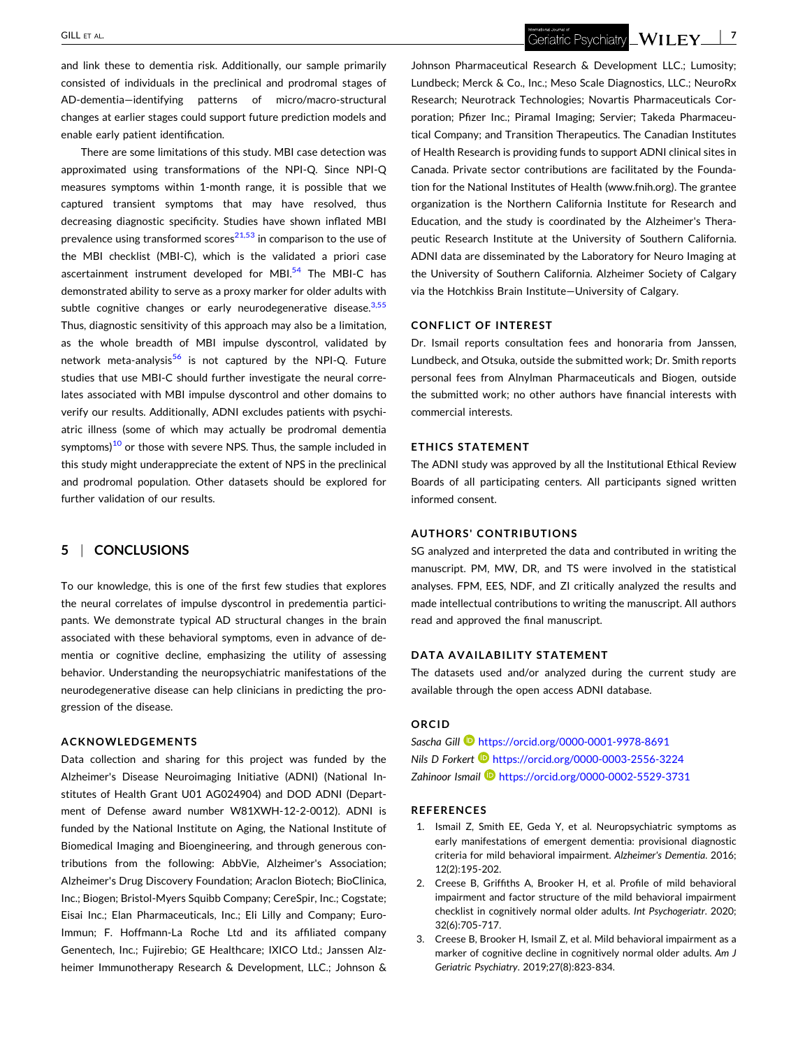<span id="page-6-0"></span>and link these to dementia risk. Additionally, our sample primarily consisted of individuals in the preclinical and prodromal stages of AD‐dementia—identifying patterns of micro/macro‐structural changes at earlier stages could support future prediction models and enable early patient identification.

There are some limitations of this study. MBI case detection was approximated using transformations of the NPI‐Q. Since NPI‐Q measures symptoms within 1‐month range, it is possible that we captured transient symptoms that may have resolved, thus decreasing diagnostic specificity. Studies have shown inflated MBI prevalence using transformed scores<sup>21,53</sup> in comparison to the use of the MBI checklist (MBI‐C), which is the validated a priori case ascertainment instrument developed for MBI.<sup>[54](#page-8-0)</sup> The MBI-C has demonstrated ability to serve as a proxy marker for older adults with subtle cognitive changes or early neurodegenerative disease.<sup>3,55</sup> Thus, diagnostic sensitivity of this approach may also be a limitation, as the whole breadth of MBI impulse dyscontrol, validated by network meta-analysis<sup>[56](#page-8-0)</sup> is not captured by the NPI-Q. Future studies that use MBI‐C should further investigate the neural correlates associated with MBI impulse dyscontrol and other domains to verify our results. Additionally, ADNI excludes patients with psychiatric illness (some of which may actually be prodromal dementia symptoms) $10$  or those with severe NPS. Thus, the sample included in this study might underappreciate the extent of NPS in the preclinical and prodromal population. Other datasets should be explored for further validation of our results.

# **5** <sup>|</sup> **CONCLUSIONS**

To our knowledge, this is one of the first few studies that explores the neural correlates of impulse dyscontrol in predementia participants. We demonstrate typical AD structural changes in the brain associated with these behavioral symptoms, even in advance of dementia or cognitive decline, emphasizing the utility of assessing behavior. Understanding the neuropsychiatric manifestations of the neurodegenerative disease can help clinicians in predicting the progression of the disease.

### **ACKNOWLEDGEMENTS**

Data collection and sharing for this project was funded by the Alzheimer's Disease Neuroimaging Initiative (ADNI) (National Institutes of Health Grant U01 AG024904) and DOD ADNI (Department of Defense award number W81XWH‐12‐2‐0012). ADNI is funded by the National Institute on Aging, the National Institute of Biomedical Imaging and Bioengineering, and through generous contributions from the following: AbbVie, Alzheimer's Association; Alzheimer's Drug Discovery Foundation; Araclon Biotech; BioClinica, Inc.; Biogen; Bristol‐Myers Squibb Company; CereSpir, Inc.; Cogstate; Eisai Inc.; Elan Pharmaceuticals, Inc.; Eli Lilly and Company; Euro-Immun; F. Hoffmann‐La Roche Ltd and its affiliated company Genentech, Inc.; Fujirebio; GE Healthcare; IXICO Ltd.; Janssen Alzheimer Immunotherapy Research & Development, LLC.; Johnson &

Geriatric Psychiatry **WILEY** 17

Johnson Pharmaceutical Research & Development LLC.; Lumosity; Lundbeck; Merck & Co., Inc.; Meso Scale Diagnostics, LLC.; NeuroRx Research; Neurotrack Technologies; Novartis Pharmaceuticals Corporation; Pfizer Inc.; Piramal Imaging; Servier; Takeda Pharmaceutical Company; and Transition Therapeutics. The Canadian Institutes of Health Research is providing funds to support ADNI clinical sites in Canada. Private sector contributions are facilitated by the Foundation for the National Institutes of Health (www.fnih.org). The grantee organization is the Northern California Institute for Research and Education, and the study is coordinated by the Alzheimer's Therapeutic Research Institute at the University of Southern California. ADNI data are disseminated by the Laboratory for Neuro Imaging at the University of Southern California. Alzheimer Society of Calgary via the Hotchkiss Brain Institute—University of Calgary.

### **CONFLICT OF INTEREST**

Dr. Ismail reports consultation fees and honoraria from Janssen, Lundbeck, and Otsuka, outside the submitted work; Dr. Smith reports personal fees from Alnylman Pharmaceuticals and Biogen, outside the submitted work; no other authors have financial interests with commercial interests.

#### **ETHICS STATEMENT**

The ADNI study was approved by all the Institutional Ethical Review Boards of all participating centers. All participants signed written informed consent.

#### **AUTHORS' CONTRIBUTIONS**

SG analyzed and interpreted the data and contributed in writing the manuscript. PM, MW, DR, and TS were involved in the statistical analyses. FPM, EES, NDF, and ZI critically analyzed the results and made intellectual contributions to writing the manuscript. All authors read and approved the final manuscript.

#### **DATA AVAILABILITY STATEMENT**

The datasets used and/or analyzed during the current study are available through the open access ADNI database.

# **ORCID**

*Sascha Gill* <https://orcid.org/0000-0001-9978-8691> *Nils D Forkert* **D** <https://orcid.org/0000-0003-2556-3224> *Zahinoor Ismail* <https://orcid.org/0000-0002-5529-3731>

#### **REFERENCES**

- 1. Ismail Z, Smith EE, Geda Y, et al. Neuropsychiatric symptoms as early manifestations of emergent dementia: provisional diagnostic criteria for mild behavioral impairment. *Alzheimer's Dementia*. 2016; 12(2):195‐202.
- 2. Creese B, Griffiths A, Brooker H, et al. Profile of mild behavioral impairment and factor structure of the mild behavioral impairment checklist in cognitively normal older adults. *Int Psychogeriatr*. 2020; 32(6):705‐717.
- 3. Creese B, Brooker H, Ismail Z, et al. Mild behavioral impairment as a marker of cognitive decline in cognitively normal older adults. *Am J Geriatric Psychiatry*. 2019;27(8):823‐834.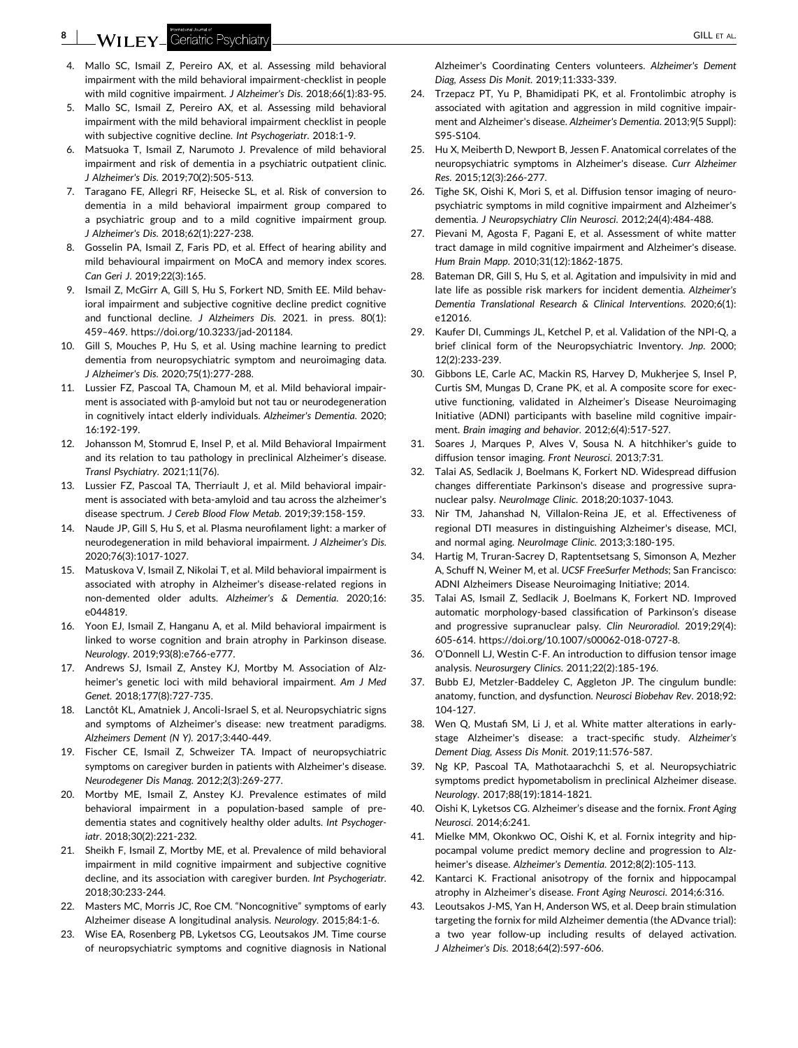- <span id="page-7-0"></span>4. Mallo SC, Ismail Z, Pereiro AX, et al. Assessing mild behavioral impairment with the mild behavioral impairment‐checklist in people with mild cognitive impairment. *J Alzheimer's Dis*. 2018;66(1):83‐95.
- 5. Mallo SC, Ismail Z, Pereiro AX, et al. Assessing mild behavioral impairment with the mild behavioral impairment checklist in people with subjective cognitive decline. *Int Psychogeriatr*. 2018:1‐9.
- 6. Matsuoka T, Ismail Z, Narumoto J. Prevalence of mild behavioral impairment and risk of dementia in a psychiatric outpatient clinic. *J Alzheimer's Dis*. 2019;70(2):505‐513.
- 7. Taragano FE, Allegri RF, Heisecke SL, et al. Risk of conversion to dementia in a mild behavioral impairment group compared to a psychiatric group and to a mild cognitive impairment group. *J Alzheimer's Dis*. 2018;62(1):227‐238.
- 8. Gosselin PA, Ismail Z, Faris PD, et al. Effect of hearing ability and mild behavioural impairment on MoCA and memory index scores. *Can Geri J*. 2019;22(3):165.
- 9. Ismail Z, McGirr A, Gill S, Hu S, Forkert ND, Smith EE. Mild behavioral impairment and subjective cognitive decline predict cognitive and functional decline. *J Alzheimers Dis*. 2021. in press. 80(1): 459–469. [https://doi.org/10.3233/jad](https://doi.org/10.3233/jad-201184)‐201184.
- 10. Gill S, Mouches P, Hu S, et al. Using machine learning to predict dementia from neuropsychiatric symptom and neuroimaging data. *J Alzheimer's Dis*. 2020;75(1):277‐288.
- 11. Lussier FZ, Pascoal TA, Chamoun M, et al. Mild behavioral impairment is associated with β‐amyloid but not tau or neurodegeneration in cognitively intact elderly individuals. *Alzheimer's Dementia*. 2020; 16:192‐199.
- 12. Johansson M, Stomrud E, Insel P, et al. Mild Behavioral Impairment and its relation to tau pathology in preclinical Alzheimer's disease. *Transl Psychiatry*. 2021;11(76).
- 13. Lussier FZ, Pascoal TA, Therriault J, et al. Mild behavioral impairment is associated with beta‐amyloid and tau across the alzheimer's disease spectrum. *J Cereb Blood Flow Metab*. 2019;39:158‐159.
- 14. Naude JP, Gill S, Hu S, et al. Plasma neurofilament light: a marker of neurodegeneration in mild behavioral impairment. *J Alzheimer's Dis*. 2020;76(3):1017‐1027.
- 15. Matuskova V, Ismail Z, Nikolai T, et al. Mild behavioral impairment is associated with atrophy in Alzheimer's disease‐related regions in non‐demented older adults. *Alzheimer's & Dementia*. 2020;16: e044819.
- 16. Yoon EJ, Ismail Z, Hanganu A, et al. Mild behavioral impairment is linked to worse cognition and brain atrophy in Parkinson disease. *Neurology*. 2019;93(8):e766‐e777.
- 17. Andrews SJ, Ismail Z, Anstey KJ, Mortby M. Association of Alzheimer's genetic loci with mild behavioral impairment. *Am J Med Genet*. 2018;177(8):727‐735.
- 18. Lanctôt KL, Amatniek J, Ancoli‐Israel S, et al. Neuropsychiatric signs and symptoms of Alzheimer's disease: new treatment paradigms. *Alzheimers Dement (N Y)*. 2017;3:440‐449.
- 19. Fischer CE, Ismail Z, Schweizer TA. Impact of neuropsychiatric symptoms on caregiver burden in patients with Alzheimer's disease. *Neurodegener Dis Manag*. 2012;2(3):269‐277.
- 20. Mortby ME, Ismail Z, Anstey KJ. Prevalence estimates of mild behavioral impairment in a population‐based sample of pre‐ dementia states and cognitively healthy older adults. *Int Psychogeriatr*. 2018;30(2):221‐232.
- 21. Sheikh F, Ismail Z, Mortby ME, et al. Prevalence of mild behavioral impairment in mild cognitive impairment and subjective cognitive decline, and its association with caregiver burden. *Int Psychogeriatr*. 2018;30:233‐244.
- 22. Masters MC, Morris JC, Roe CM. "Noncognitive" symptoms of early Alzheimer disease A longitudinal analysis. *Neurology*. 2015;84:1‐6.
- 23. Wise EA, Rosenberg PB, Lyketsos CG, Leoutsakos JM. Time course of neuropsychiatric symptoms and cognitive diagnosis in National

Alzheimer's Coordinating Centers volunteers. *Alzheimer's Dement Diag, Assess Dis Monit*. 2019;11:333‐339.

- 24. Trzepacz PT, Yu P, Bhamidipati PK, et al. Frontolimbic atrophy is associated with agitation and aggression in mild cognitive impairment and Alzheimer's disease. *Alzheimer's Dementia*. 2013;9(5 Suppl): S95‐S104.
- 25. Hu X, Meiberth D, Newport B, Jessen F. Anatomical correlates of the neuropsychiatric symptoms in Alzheimer's disease. *Curr Alzheimer Res*. 2015;12(3):266‐277.
- 26. Tighe SK, Oishi K, Mori S, et al. Diffusion tensor imaging of neuropsychiatric symptoms in mild cognitive impairment and Alzheimer's dementia. *J Neuropsychiatry Clin Neurosci*. 2012;24(4):484‐488.
- 27. Pievani M, Agosta F, Pagani E, et al. Assessment of white matter tract damage in mild cognitive impairment and Alzheimer's disease. *Hum Brain Mapp*. 2010;31(12):1862‐1875.
- 28. Bateman DR, Gill S, Hu S, et al. Agitation and impulsivity in mid and late life as possible risk markers for incident dementia. *Alzheimer's Dementia Translational Research & Clinical Interventions*. 2020;6(1): e12016.
- 29. Kaufer DI, Cummings JL, Ketchel P, et al. Validation of the NPI‐Q, a brief clinical form of the Neuropsychiatric Inventory. *Jnp*. 2000; 12(2):233‐239.
- 30. Gibbons LE, Carle AC, Mackin RS, Harvey D, Mukherjee S, Insel P, Curtis SM, Mungas D, Crane PK, et al. A composite score for executive functioning, validated in Alzheimer's Disease Neuroimaging Initiative (ADNI) participants with baseline mild cognitive impairment. *Brain imaging and behavior*. 2012;6(4):517‐527.
- 31. Soares J, Marques P, Alves V, Sousa N. A hitchhiker's guide to diffusion tensor imaging. *Front Neurosci*. 2013;7:31.
- 32. Talai AS, Sedlacik J, Boelmans K, Forkert ND. Widespread diffusion changes differentiate Parkinson's disease and progressive supranuclear palsy. *NeuroImage Clinic*. 2018;20:1037‐1043.
- 33. Nir TM, Jahanshad N, Villalon‐Reina JE, et al. Effectiveness of regional DTI measures in distinguishing Alzheimer's disease, MCI, and normal aging. *NeuroImage Clinic*. 2013;3:180‐195.
- 34. Hartig M, Truran‐Sacrey D, Raptentsetsang S, Simonson A, Mezher A, Schuff N, Weiner M, et al. *UCSF FreeSurfer Methods*; San Francisco: ADNI Alzheimers Disease Neuroimaging Initiative; 2014.
- 35. Talai AS, Ismail Z, Sedlacik J, Boelmans K, Forkert ND. Improved automatic morphology‐based classification of Parkinson's disease and progressive supranuclear palsy. *Clin Neuroradiol*. 2019;29(4): 605‐614. [https://doi.org/10.1007/s00062](https://doi.org/10.1007/s00062-018-0727-8.)‐018‐0727‐8.
- 36. O'Donnell LJ, Westin C‐F. An introduction to diffusion tensor image analysis. *Neurosurgery Clinics*. 2011;22(2):185‐196.
- 37. Bubb EJ, Metzler‐Baddeley C, Aggleton JP. The cingulum bundle: anatomy, function, and dysfunction. *Neurosci Biobehav Rev*. 2018;92: 104‐127.
- 38. Wen Q, Mustafi SM, Li J, et al. White matter alterations in early‐ stage Alzheimer's disease: a tract‐specific study. *Alzheimer's Dement Diag, Assess Dis Monit*. 2019;11:576‐587.
- 39. Ng KP, Pascoal TA, Mathotaarachchi S, et al. Neuropsychiatric symptoms predict hypometabolism in preclinical Alzheimer disease. *Neurology*. 2017;88(19):1814‐1821.
- 40. Oishi K, Lyketsos CG. Alzheimer's disease and the fornix. *Front Aging Neurosci*. 2014;6:241.
- 41. Mielke MM, Okonkwo OC, Oishi K, et al. Fornix integrity and hippocampal volume predict memory decline and progression to Alzheimer's disease. *Alzheimer's Dementia*. 2012;8(2):105‐113.
- 42. Kantarci K. Fractional anisotropy of the fornix and hippocampal atrophy in Alzheimer's disease. *Front Aging Neurosci*. 2014;6:316.
- 43. Leoutsakos J‐MS, Yan H, Anderson WS, et al. Deep brain stimulation targeting the fornix for mild Alzheimer dementia (the ADvance trial): a two year follow‐up including results of delayed activation. *J Alzheimer's Dis*. 2018;64(2):597‐606.